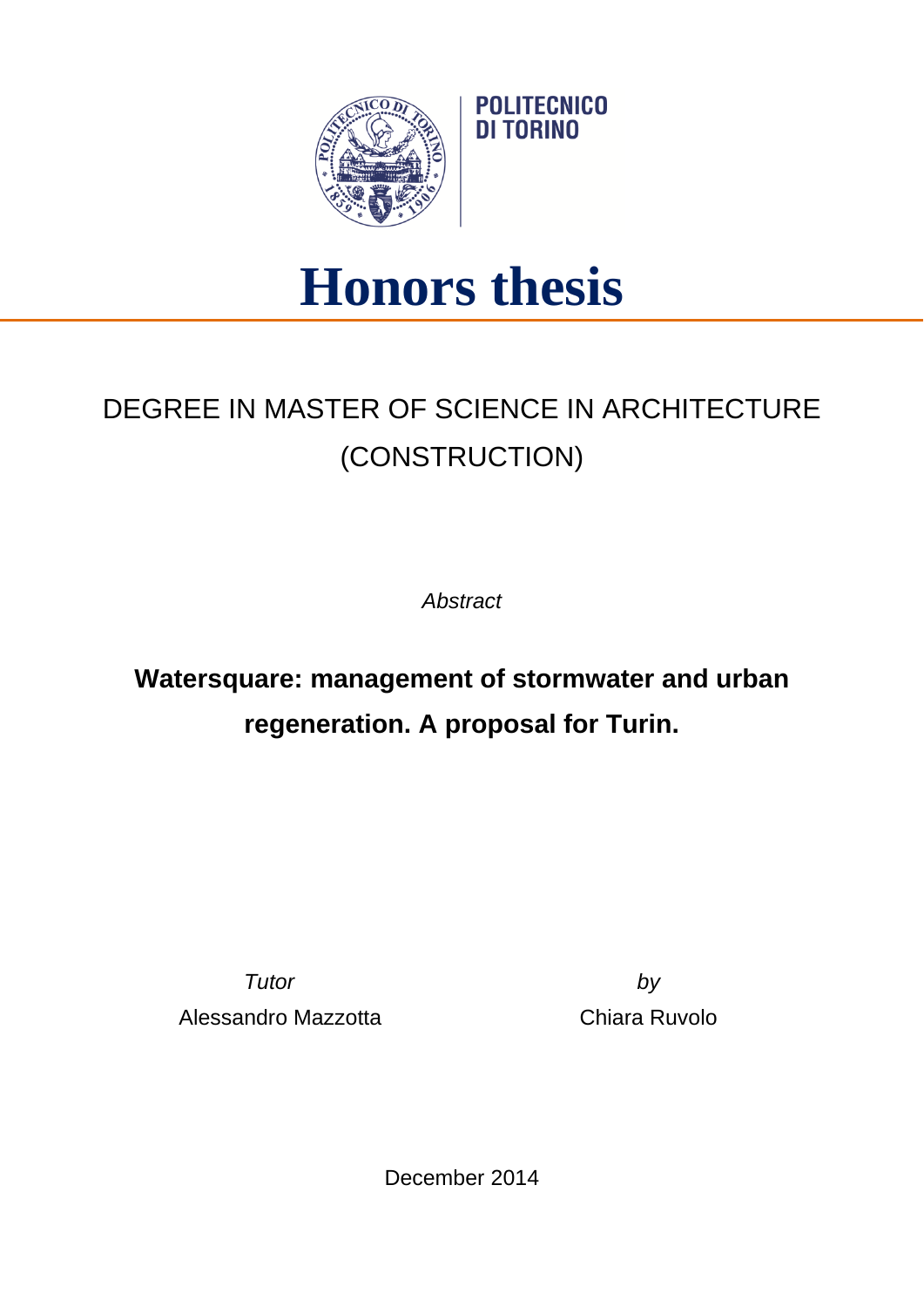

## **Honors thesis**

**POLITECNICO** DI TORINO

## DEGREE IN MASTER OF SCIENCE IN ARCHITECTURE (CONSTRUCTION)

*Abstract*

**Watersquare: management of stormwater and urban regeneration. A proposal for Turin.**

Alessandro Mazzotta Chiara Ruvolo

*Tutor by*

December 2014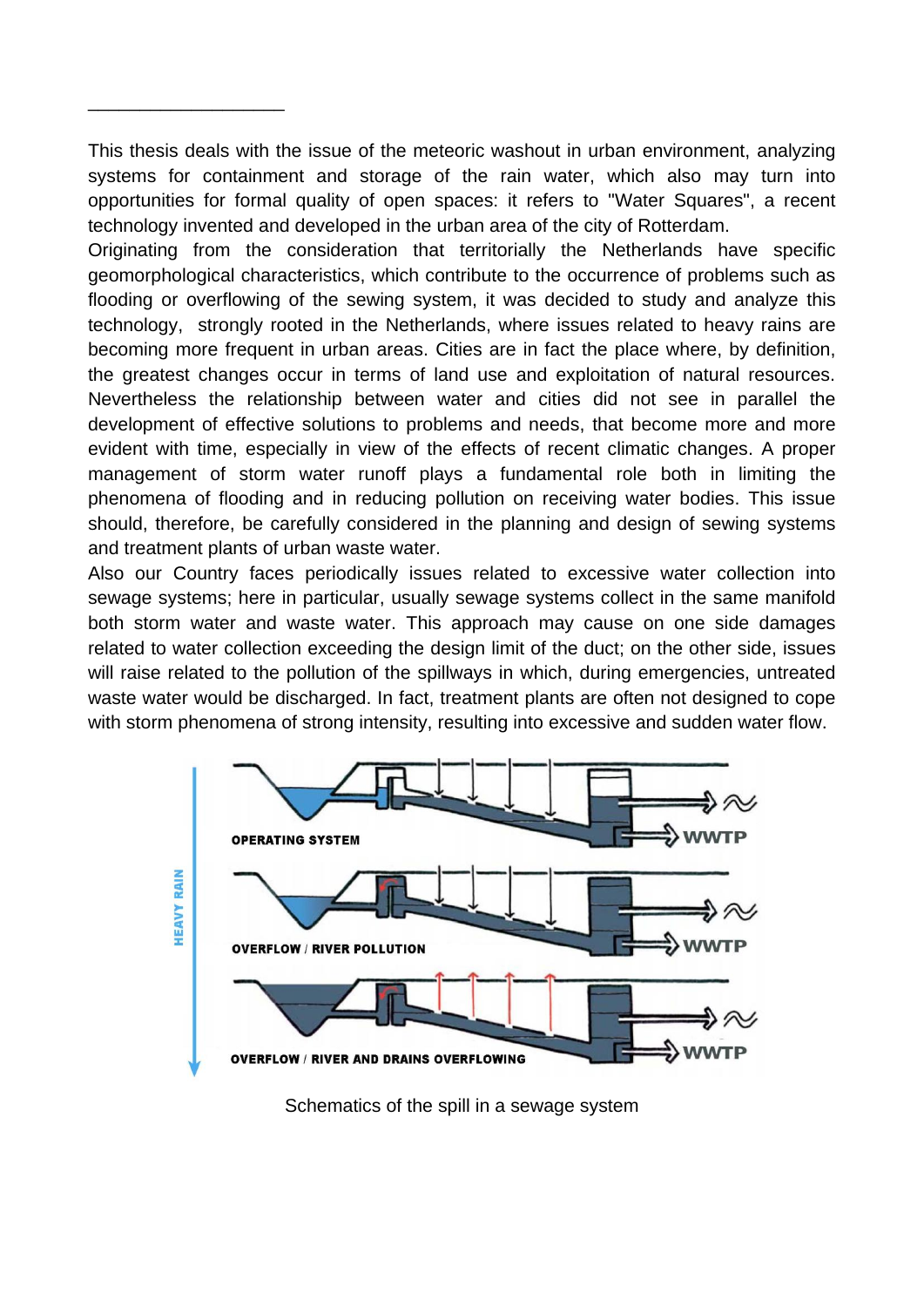This thesis deals with the issue of the meteoric washout in urban environment, analyzing systems for containment and storage of the rain water, which also may turn into opportunities for formal quality of open spaces: it refers to "Water Squares", a recent technology invented and developed in the urban area of the city of Rotterdam.

\_\_\_\_\_\_\_\_\_\_\_\_\_\_\_\_\_\_\_

Originating from the consideration that territorially the Netherlands have specific geomorphological characteristics, which contribute to the occurrence of problems such as flooding or overflowing of the sewing system, it was decided to study and analyze this technology, strongly rooted in the Netherlands, where issues related to heavy rains are becoming more frequent in urban areas. Cities are in fact the place where, by definition, the greatest changes occur in terms of land use and exploitation of natural resources. Nevertheless the relationship between water and cities did not see in parallel the development of effective solutions to problems and needs, that become more and more evident with time, especially in view of the effects of recent climatic changes. A proper management of storm water runoff plays a fundamental role both in limiting the phenomena of flooding and in reducing pollution on receiving water bodies. This issue should, therefore, be carefully considered in the planning and design of sewing systems and treatment plants of urban waste water.

Also our Country faces periodically issues related to excessive water collection into sewage systems; here in particular, usually sewage systems collect in the same manifold both storm water and waste water. This approach may cause on one side damages related to water collection exceeding the design limit of the duct; on the other side, issues will raise related to the pollution of the spillways in which, during emergencies, untreated waste water would be discharged. In fact, treatment plants are often not designed to cope with storm phenomena of strong intensity, resulting into excessive and sudden water flow.



Schematics of the spill in a sewage system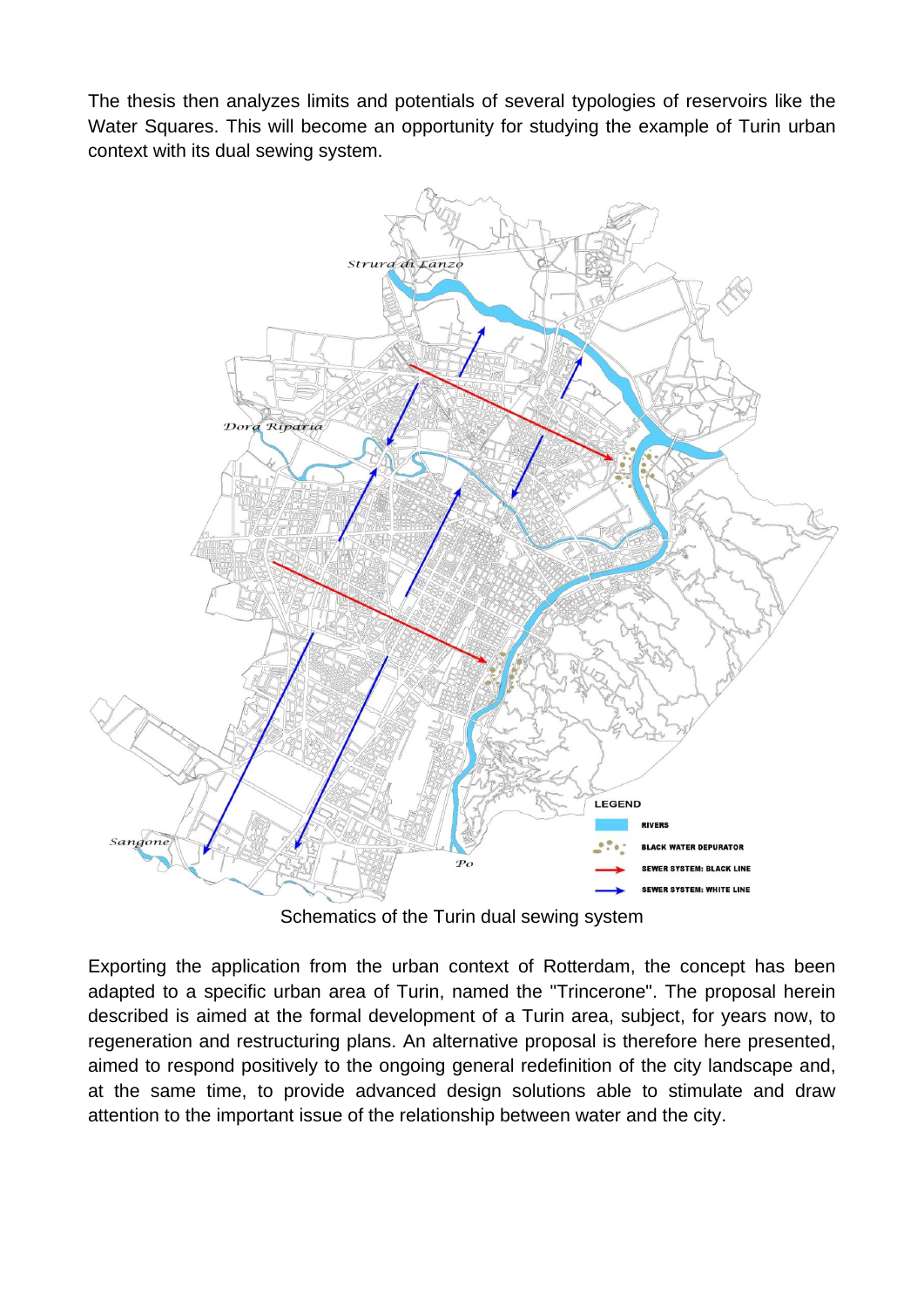The thesis then analyzes limits and potentials of several typologies of reservoirs like the Water Squares. This will become an opportunity for studying the example of Turin urban context with its dual sewing system.



Schematics of the Turin dual sewing system

Exporting the application from the urban context of Rotterdam, the concept has been adapted to a specific urban area of Turin, named the "Trincerone". The proposal herein described is aimed at the formal development of a Turin area, subject, for years now, to regeneration and restructuring plans. An alternative proposal is therefore here presented, aimed to respond positively to the ongoing general redefinition of the city landscape and, at the same time, to provide advanced design solutions able to stimulate and draw attention to the important issue of the relationship between water and the city.